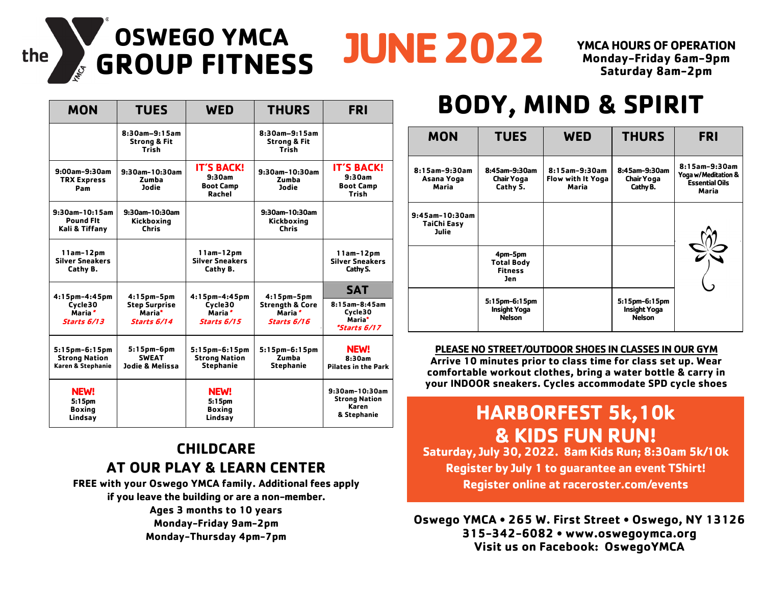# **GROUP FITNESS JUNE 2022 OSWEGO YMCA**

**YMCA HOURS OF OPERATION Monday-Friday 6am-9pm Saturday 8am-2pm** 

| <b>MON</b>                                                 | <b>TUES</b>                                                      | <b>WED</b>                                                | <b>THURS</b>                                                                         | <b>FRI</b>                                                       |
|------------------------------------------------------------|------------------------------------------------------------------|-----------------------------------------------------------|--------------------------------------------------------------------------------------|------------------------------------------------------------------|
|                                                            | 8:30am-9:15am<br><b>Strong &amp; Fit</b><br><b>Trish</b>         |                                                           | 8:30am-9:15am<br><b>Strong &amp; Fit</b><br>Trish                                    |                                                                  |
| 9:00am-9:30am<br><b>TRX Express</b><br>Pam                 | 9:30am-10:30am<br>Zumba<br><b>Jodie</b>                          | <b>IT'S BACK!</b><br>9:30am<br><b>Boot Camp</b><br>Rachel | 9:30am-10:30am<br>Zumba<br><b>Jodie</b>                                              | <b>IT'S BACK!</b><br>9:30am<br><b>Boot Camp</b><br>Trish         |
| 9:30am-10:15am<br><b>Pound Fit</b><br>Kali & Tiffany       | 9:30am-10:30am<br>Kickboxing<br><b>Chris</b>                     |                                                           | 9:30am-10:30am<br>Kickboxing<br><b>Chris</b>                                         |                                                                  |
| 11am-12pm<br><b>Silver Sneakers</b><br>Cathy B.            |                                                                  | $11am-12pm$<br><b>Silver Sneakers</b><br>Cathy B.         |                                                                                      | 11am-12pm<br><b>Silver Sneakers</b><br>Cathy S.                  |
| $4:15$ pm-4:45pm                                           | $4:15$ pm- $5$ pm                                                | 4:15pm-4:45pm                                             | $4:15$ pm- $5$ pm<br><b>Strength &amp; Core</b><br>Maria <sup>*</sup><br>Starts 6/16 | <b>SAT</b>                                                       |
| Cycle30<br>Maria <sup>*</sup><br><b>Starts 6/13</b>        | <b>Step Surprise</b><br>Maria <sup>*</sup><br><b>Starts 6/14</b> | Cvcle30<br>Maria <sup>*</sup><br>Starts 6/15              |                                                                                      | 8:15am-8:45am<br>Cvcle30<br>Maria*<br><i><b>*Starts 6/17</b></i> |
| 5:15pm-6:15pm<br><b>Strong Nation</b><br>Karen & Stephanie | 5:15pm-6pm<br><b>SWEAT</b><br>Jodie & Melissa                    | 5:15pm-6:15pm<br><b>Strong Nation</b><br><b>Stephanie</b> | 5:15pm-6:15pm<br>Zumba<br><b>Stephanie</b>                                           | <b>NEW!</b><br>8:30am<br><b>Pilates in the Park</b>              |
| <b>NEW!</b><br>5:15pm<br><b>Boxing</b><br>Lindsay          |                                                                  | <b>NEW!</b><br>5:15pm<br><b>Boxing</b><br>Lindsay         |                                                                                      | 9:30am-10:30am<br><b>Strong Nation</b><br>Karen<br>& Stephanie   |

the

#### **CHILDCARE AT OUR PLAY & LEARN CENTER**

**FREE with your Oswego YMCA family. Additional fees apply if you leave the building or are a non-member.** 

> **Ages 3 months to 10 years Monday-Friday 9am-2pm Monday-Thursday 4pm-7pm**

## **BODY, MIND & SPIRIT**

| <b>MON</b>                                       | <b>TUES</b>                                                  | <b>WED</b>                                  | <b>THURS</b>                                          | <b>FRI</b>                                                             |
|--------------------------------------------------|--------------------------------------------------------------|---------------------------------------------|-------------------------------------------------------|------------------------------------------------------------------------|
| 8:15am-9:30am<br>Asana Yoga<br>Maria             | 8:45am-9:30am<br>Chair Yoga<br>Cathy S.                      | 8:15am-9:30am<br>Flow with It Yoga<br>Maria | 8:45am-9:30am<br>Chair Yoga<br>Cathy B.               | 8:15am-9:30am<br>Yoga w/Meditation &<br><b>Essential Oils</b><br>Maria |
| $9:45$ am-10:30am<br><b>TaiChi Easy</b><br>Julie |                                                              |                                             |                                                       |                                                                        |
|                                                  | 4pm-5pm<br><b>Total Body</b><br><b>Fitness</b><br><b>Jen</b> |                                             |                                                       |                                                                        |
|                                                  | 5:15pm-6:15pm<br><b>Insight Yoga</b><br><b>Nelson</b>        |                                             | 5:15pm-6:15pm<br><b>Insight Yoga</b><br><b>Nelson</b> |                                                                        |

#### **PLEASE NO STREET/OUTDOOR SHOES IN CLASSES IN OUR GYM**

**Arrive 10 minutes prior to class time for class set up. Wear comfortable workout clothes, bring a water bottle & carry in your INDOOR sneakers. Cycles accommodate SPD cycle shoes**

### **HARBORFEST 5k,10k & KIDS FUN RUN!**

**Saturday, July 30, 2022. 8am Kids Run; 8:30am 5k/10k Register by July 1 to guarantee an event TShirt! Register online at raceroster.com/events**

**Oswego YMCA • 265 W. First Street • Oswego, NY 13126 315-342-6082 • www.oswegoymca.org Visit us on Facebook: OswegoYMCA**